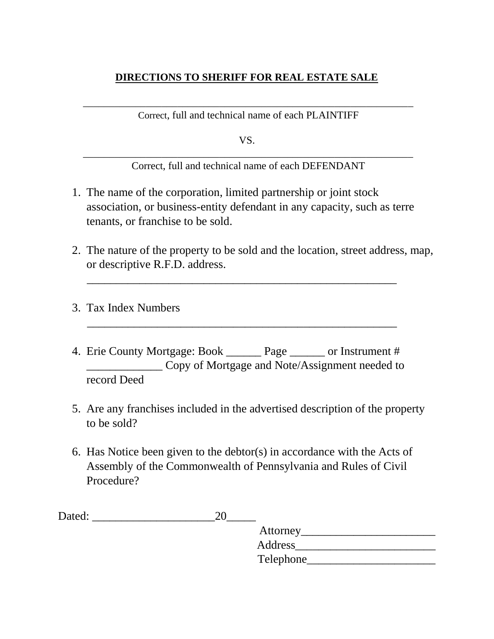# **DIRECTIONS TO SHERIFF FOR REAL ESTATE SALE**

\_\_\_\_\_\_\_\_\_\_\_\_\_\_\_\_\_\_\_\_\_\_\_\_\_\_\_\_\_\_\_\_\_\_\_\_\_\_\_\_\_\_\_\_\_\_\_\_\_\_\_\_\_\_\_\_\_\_\_\_\_\_\_ Correct, full and technical name of each PLAINTIFF

VS.

\_\_\_\_\_\_\_\_\_\_\_\_\_\_\_\_\_\_\_\_\_\_\_\_\_\_\_\_\_\_\_\_\_\_\_\_\_\_\_\_\_\_\_\_\_\_\_\_\_\_\_\_\_\_\_\_\_\_\_\_\_\_\_ Correct, full and technical name of each DEFENDANT

- 1. The name of the corporation, limited partnership or joint stock association, or business-entity defendant in any capacity, such as terre tenants, or franchise to be sold.
- 2. The nature of the property to be sold and the location, street address, map, or descriptive R.F.D. address.

\_\_\_\_\_\_\_\_\_\_\_\_\_\_\_\_\_\_\_\_\_\_\_\_\_\_\_\_\_\_\_\_\_\_\_\_\_\_\_\_\_\_\_\_\_\_\_\_\_\_\_\_\_

\_\_\_\_\_\_\_\_\_\_\_\_\_\_\_\_\_\_\_\_\_\_\_\_\_\_\_\_\_\_\_\_\_\_\_\_\_\_\_\_\_\_\_\_\_\_\_\_\_\_\_\_\_

- 3. Tax Index Numbers
- 4. Erie County Mortgage: Book \_\_\_\_\_\_ Page \_\_\_\_\_\_ or Instrument # \_\_\_\_\_\_\_\_\_\_\_\_\_ Copy of Mortgage and Note/Assignment needed to record Deed
- 5. Are any franchises included in the advertised description of the property to be sold?
- 6. Has Notice been given to the debtor(s) in accordance with the Acts of Assembly of the Commonwealth of Pennsylvania and Rules of Civil Procedure?

| Dated: |           |  |
|--------|-----------|--|
|        | Attorney  |  |
|        | Address   |  |
|        | Telephone |  |
|        |           |  |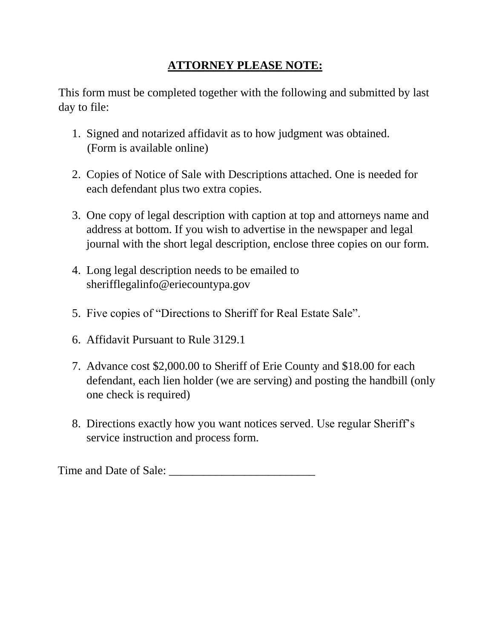# **ATTORNEY PLEASE NOTE:**

This form must be completed together with the following and submitted by last day to file:

- 1. Signed and notarized affidavit as to how judgment was obtained. (Form is available online)
- 2. Copies of Notice of Sale with Descriptions attached. One is needed for each defendant plus two extra copies.
- 3. One copy of legal description with caption at top and attorneys name and address at bottom. If you wish to advertise in the newspaper and legal journal with the short legal description, enclose three copies on our form.
- 4. Long legal description needs to be emailed to sherifflegalinfo@eriecountypa.gov
- 5. Five copies of "Directions to Sheriff for Real Estate Sale".
- 6. Affidavit Pursuant to Rule 3129.1
- 7. Advance cost \$2,000.00 to Sheriff of Erie County and \$18.00 for each defendant, each lien holder (we are serving) and posting the handbill (only one check is required)
- 8. Directions exactly how you want notices served. Use regular Sheriff's service instruction and process form.

Time and Date of Sale: \_\_\_\_\_\_\_\_\_\_\_\_\_\_\_\_\_\_\_\_\_\_\_\_\_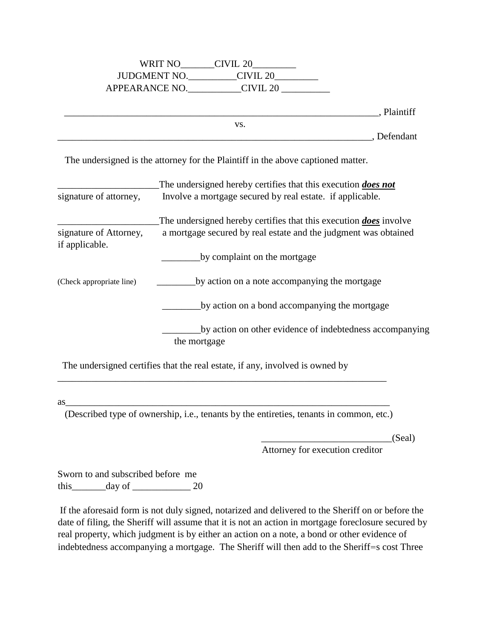| WRIT NO             | CIVIL 20            |
|---------------------|---------------------|
| <b>JUDGMENT NO.</b> | CIVIL <sub>20</sub> |
| APPEARANCE NO.      | CIVIL 20            |

\_\_\_\_\_\_\_\_\_\_\_\_\_\_\_\_\_\_\_\_\_\_\_\_\_\_\_\_\_\_\_\_\_\_\_\_\_\_\_\_\_\_\_\_\_\_\_\_\_\_\_\_\_\_\_\_\_\_\_\_\_\_\_\_\_, Plaintiff

\_\_\_\_\_\_\_\_\_\_\_\_\_\_\_\_\_\_\_\_\_\_\_\_\_\_\_\_\_\_\_\_\_\_\_\_\_\_\_\_\_\_\_\_\_\_\_\_\_\_\_\_\_\_\_\_\_\_\_\_\_\_\_\_\_, Defendant

The undersigned is the attorney for the Plaintiff in the above captioned matter.

vs.

| signature of attorney,                   | The undersigned hereby certifies that this execution <i>does not</i><br>Involve a mortgage secured by real estate. if applicable.                  |
|------------------------------------------|----------------------------------------------------------------------------------------------------------------------------------------------------|
| signature of Attorney,<br>if applicable. | The undersigned hereby certifies that this execution <b><i>does</i></b> involve<br>a mortgage secured by real estate and the judgment was obtained |
|                                          | by complaint on the mortgage                                                                                                                       |
| (Check appropriate line)                 | by action on a note accompanying the mortgage                                                                                                      |
|                                          | by action on a bond accompanying the mortgage                                                                                                      |
|                                          | by action on other evidence of indebtedness accompanying<br>the mortgage                                                                           |

The undersigned certifies that the real estate, if any, involved is owned by

as\_\_\_\_\_\_\_\_\_\_\_\_\_\_\_\_\_\_\_\_\_\_\_\_\_\_\_\_\_\_\_\_\_\_\_\_\_\_\_\_\_\_\_\_\_\_\_\_\_\_\_\_\_\_\_\_\_\_\_\_\_\_\_\_\_\_\_

(Described type of ownership, i.e., tenants by the entireties, tenants in common, etc.)

\_\_\_\_\_\_\_\_\_\_\_\_\_\_\_\_\_\_\_\_\_\_\_\_\_\_\_\_\_\_\_\_\_\_\_\_\_\_\_\_\_\_\_\_\_\_\_\_\_\_\_\_\_\_\_\_\_\_\_\_\_\_\_\_\_\_\_\_

\_\_\_\_\_\_\_\_\_\_\_\_\_\_\_\_\_\_\_\_\_\_\_\_\_\_\_(Seal)

Attorney for execution creditor

Sworn to and subscribed before me this  $\frac{day \text{ of } 20}{x}$ 

If the aforesaid form is not duly signed, notarized and delivered to the Sheriff on or before the date of filing, the Sheriff will assume that it is not an action in mortgage foreclosure secured by real property, which judgment is by either an action on a note, a bond or other evidence of indebtedness accompanying a mortgage. The Sheriff will then add to the Sheriff=s cost Three